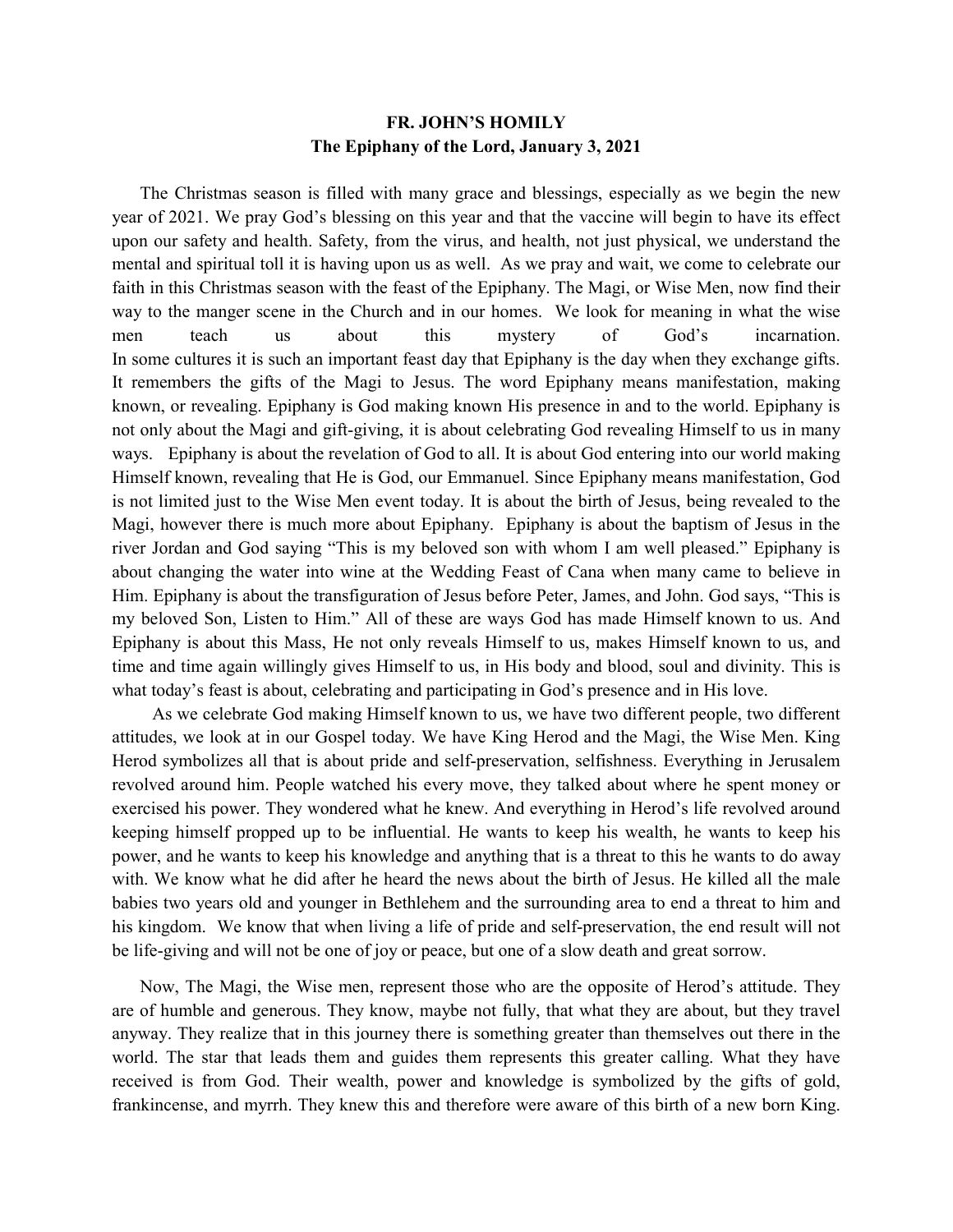## **FR. JOHN'S HOMILY The Epiphany of the Lord, January 3, 2021**

 The Christmas season is filled with many grace and blessings, especially as we begin the new year of 2021. We pray God's blessing on this year and that the vaccine will begin to have its effect upon our safety and health. Safety, from the virus, and health, not just physical, we understand the mental and spiritual toll it is having upon us as well. As we pray and wait, we come to celebrate our faith in this Christmas season with the feast of the Epiphany. The Magi, or Wise Men, now find their way to the manger scene in the Church and in our homes. We look for meaning in what the wise men teach us about this mystery of God's incarnation. In some cultures it is such an important feast day that Epiphany is the day when they exchange gifts. It remembers the gifts of the Magi to Jesus. The word Epiphany means manifestation, making known, or revealing. Epiphany is God making known His presence in and to the world. Epiphany is not only about the Magi and gift-giving, it is about celebrating God revealing Himself to us in many ways. Epiphany is about the revelation of God to all. It is about God entering into our world making Himself known, revealing that He is God, our Emmanuel. Since Epiphany means manifestation, God is not limited just to the Wise Men event today. It is about the birth of Jesus, being revealed to the Magi, however there is much more about Epiphany. Epiphany is about the baptism of Jesus in the river Jordan and God saying "This is my beloved son with whom I am well pleased." Epiphany is about changing the water into wine at the Wedding Feast of Cana when many came to believe in Him. Epiphany is about the transfiguration of Jesus before Peter, James, and John. God says, "This is my beloved Son, Listen to Him." All of these are ways God has made Himself known to us. And Epiphany is about this Mass, He not only reveals Himself to us, makes Himself known to us, and time and time again willingly gives Himself to us, in His body and blood, soul and divinity. This is what today's feast is about, celebrating and participating in God's presence and in His love.

 As we celebrate God making Himself known to us, we have two different people, two different attitudes, we look at in our Gospel today. We have King Herod and the Magi, the Wise Men. King Herod symbolizes all that is about pride and self-preservation, selfishness. Everything in Jerusalem revolved around him. People watched his every move, they talked about where he spent money or exercised his power. They wondered what he knew. And everything in Herod's life revolved around keeping himself propped up to be influential. He wants to keep his wealth, he wants to keep his power, and he wants to keep his knowledge and anything that is a threat to this he wants to do away with. We know what he did after he heard the news about the birth of Jesus. He killed all the male babies two years old and younger in Bethlehem and the surrounding area to end a threat to him and his kingdom. We know that when living a life of pride and self-preservation, the end result will not be life-giving and will not be one of joy or peace, but one of a slow death and great sorrow.

 Now, The Magi, the Wise men, represent those who are the opposite of Herod's attitude. They are of humble and generous. They know, maybe not fully, that what they are about, but they travel anyway. They realize that in this journey there is something greater than themselves out there in the world. The star that leads them and guides them represents this greater calling. What they have received is from God. Their wealth, power and knowledge is symbolized by the gifts of gold, frankincense, and myrrh. They knew this and therefore were aware of this birth of a new born King.